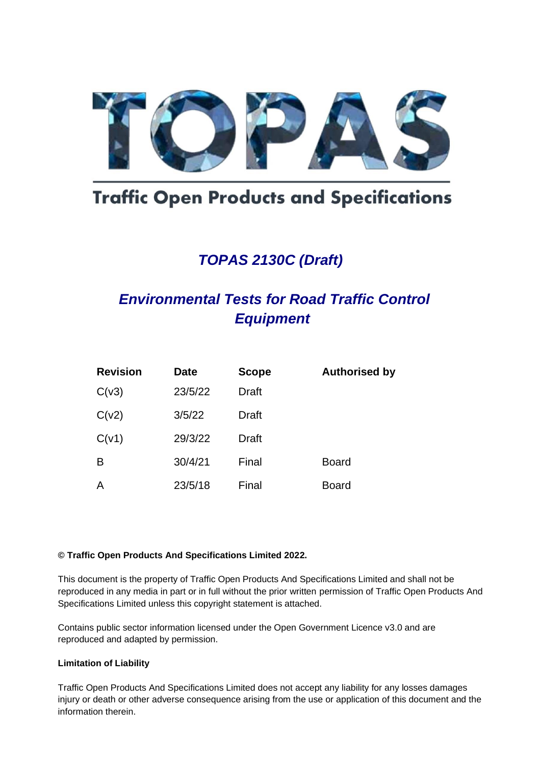

# **Traffic Open Products and Specifications**

## *TOPAS 2130C (Draft)*

## *Environmental Tests for Road Traffic Control Equipment*

| <b>Revision</b> | <b>Date</b> | <b>Scope</b> | <b>Authorised by</b> |
|-----------------|-------------|--------------|----------------------|
| C(v3)           | 23/5/22     | <b>Draft</b> |                      |
| C(v2)           | 3/5/22      | Draft        |                      |
| C(v1)           | 29/3/22     | Draft        |                      |
| B               | 30/4/21     | Final        | <b>Board</b>         |
| A               | 23/5/18     | Final        | <b>Board</b>         |

#### **© Traffic Open Products And Specifications Limited 2022.**

This document is the property of Traffic Open Products And Specifications Limited and shall not be reproduced in any media in part or in full without the prior written permission of Traffic Open Products And Specifications Limited unless this copyright statement is attached.

Contains public sector information licensed under the Open Government Licence v3.0 and are reproduced and adapted by permission.

#### **Limitation of Liability**

Traffic Open Products And Specifications Limited does not accept any liability for any losses damages injury or death or other adverse consequence arising from the use or application of this document and the information therein.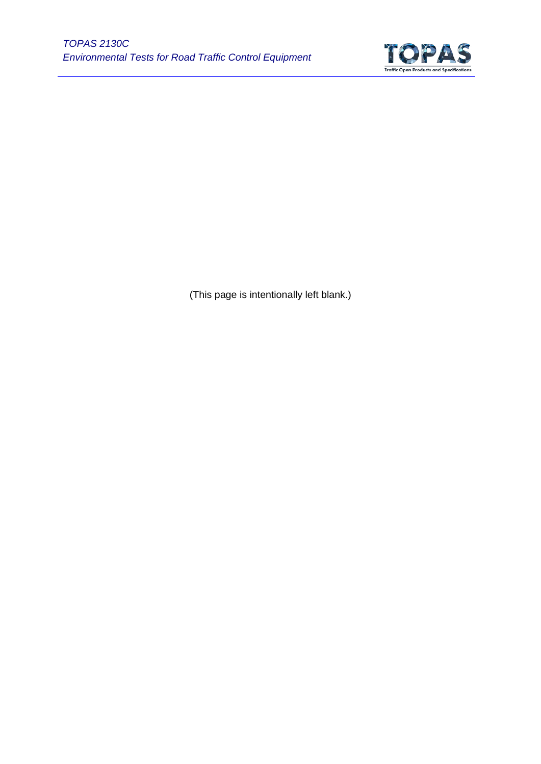

(This page is intentionally left blank.)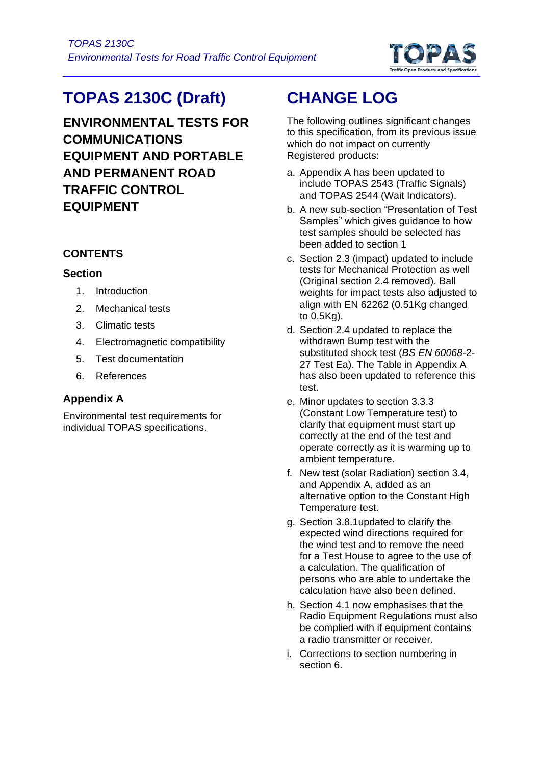

# **TOPAS 2130C (Draft)**

**ENVIRONMENTAL TESTS FOR COMMUNICATIONS EQUIPMENT AND PORTABLE AND PERMANENT ROAD TRAFFIC CONTROL EQUIPMENT** 

### **CONTENTS**

#### **Section**

- 1. Introduction
- 2. Mechanical tests
- 3. Climatic tests
- 4. Electromagnetic compatibility
- 5. Test documentation
- 6. References

#### **Appendix A**

Environmental test requirements for individual TOPAS specifications.

# **CHANGE LOG**

The following outlines significant changes to this specification, from its previous issue which do not impact on currently Registered products:

- a. Appendix A has been updated to include TOPAS 2543 (Traffic Signals) and TOPAS 2544 (Wait Indicators).
- b. A new sub-section "Presentation of Test Samples" which gives guidance to how test samples should be selected has been added to section 1
- c. Section [2.3](#page-6-0) (impact) updated to include tests for Mechanical Protection as well (Original section 2.4 removed). Ball weights for impact tests also adjusted to align with EN 62262 (0.51Kg changed to 0.5Kg).
- d. Section [2.4](#page-7-0) updated to replace the withdrawn Bump test with the substituted shock test (*BS EN 60068*-2- 27 Test Ea). The Table in Appendix A has also been updated to reference this test.
- e. Minor updates to section [3.3.3](#page-8-0) (Constant Low Temperature test) to clarify that equipment must start up correctly at the end of the test and operate correctly as it is warming up to ambient temperature.
- f. New test (solar Radiation) section [3.4,](#page-8-1) and Appendix A, added as an alternative option to the Constant High Temperature test.
- g. Section [3.8.1u](#page-9-0)pdated to clarify the expected wind directions required for the wind test and to remove the need for a Test House to agree to the use of a calculation. The qualification of persons who are able to undertake the calculation have also been defined.
- h. Section 4.1 now emphasises that the Radio Equipment Regulations must also be complied with if equipment contains a radio transmitter or receiver.
- i. Corrections to section numbering in section 6.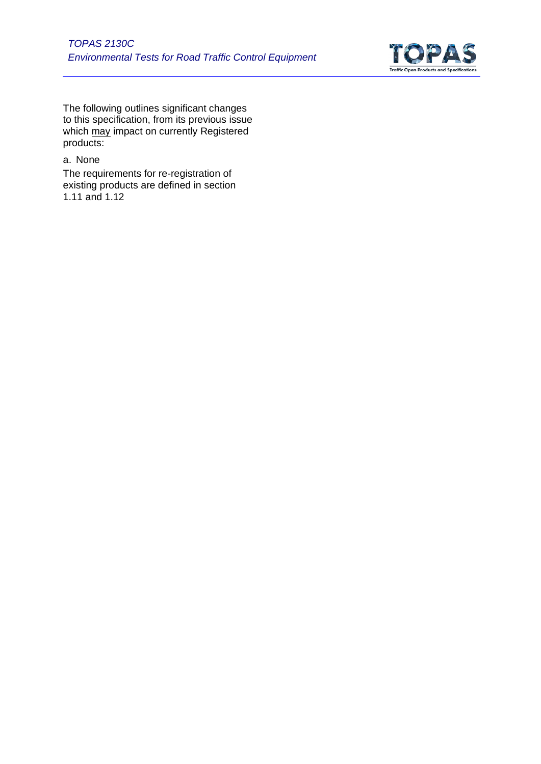

The following outlines significant changes to this specification, from its previous issue which may impact on currently Registered products:

#### a. None

The requirements for re-registration of existing products are defined in section [1.11](#page-4-0) and [1.12](#page-4-1)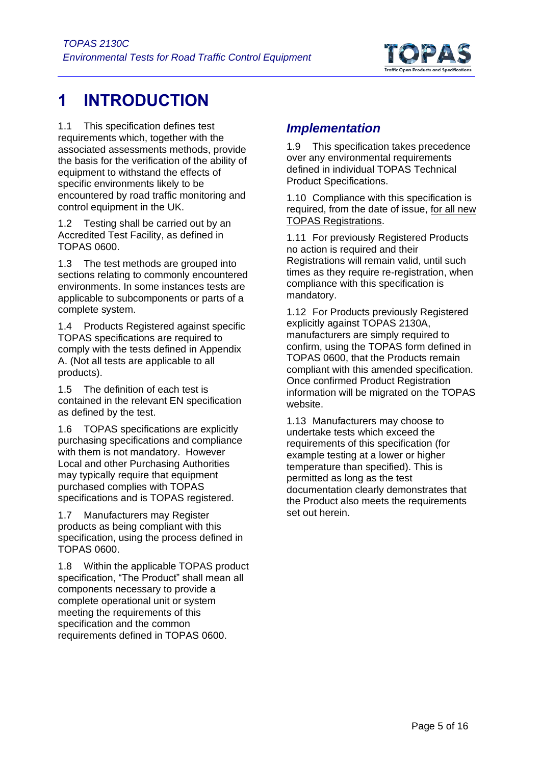

# **1 INTRODUCTION**

1.1 This specification defines test requirements which, together with the associated assessments methods, provide the basis for the verification of the ability of equipment to withstand the effects of specific environments likely to be encountered by road traffic monitoring and control equipment in the UK.

1.2 Testing shall be carried out by an Accredited Test Facility, as defined in TOPAS 0600.

1.3 The test methods are grouped into sections relating to commonly encountered environments. In some instances tests are applicable to subcomponents or parts of a complete system.

1.4 Products Registered against specific TOPAS specifications are required to comply with the tests defined in Appendix A. (Not all tests are applicable to all products).

1.5 The definition of each test is contained in the relevant EN specification as defined by the test.

1.6 TOPAS specifications are explicitly purchasing specifications and compliance with them is not mandatory. However Local and other Purchasing Authorities may typically require that equipment purchased complies with TOPAS specifications and is TOPAS registered.

1.7 Manufacturers may Register products as being compliant with this specification, using the process defined in TOPAS 0600.

1.8 Within the applicable TOPAS product specification, "The Product" shall mean all components necessary to provide a complete operational unit or system meeting the requirements of this specification and the common requirements defined in TOPAS 0600.

## *Implementation*

1.9 This specification takes precedence over any environmental requirements defined in individual TOPAS Technical Product Specifications.

1.10 Compliance with this specification is required, from the date of issue, for all new TOPAS Registrations.

<span id="page-4-0"></span>1.11 For previously Registered Products no action is required and their Registrations will remain valid, until such times as they require re-registration, when compliance with this specification is mandatory.

<span id="page-4-1"></span>1.12 For Products previously Registered explicitly against TOPAS 2130A, manufacturers are simply required to confirm, using the TOPAS form defined in TOPAS 0600, that the Products remain compliant with this amended specification. Once confirmed Product Registration information will be migrated on the TOPAS website.

1.13 Manufacturers may choose to undertake tests which exceed the requirements of this specification (for example testing at a lower or higher temperature than specified). This is permitted as long as the test documentation clearly demonstrates that the Product also meets the requirements set out herein.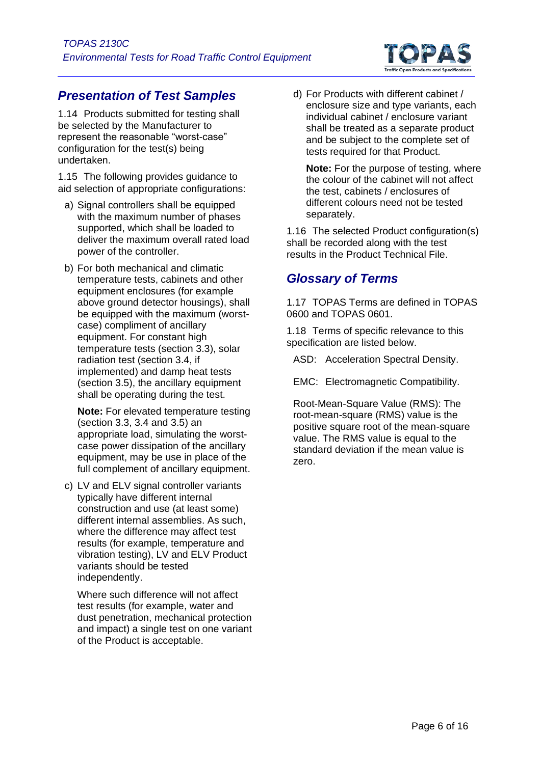

## *Presentation of Test Samples*

1.14 Products submitted for testing shall be selected by the Manufacturer to represent the reasonable "worst-case" configuration for the test(s) being undertaken.

1.15 The following provides guidance to aid selection of appropriate configurations:

- a) Signal controllers shall be equipped with the maximum number of phases supported, which shall be loaded to deliver the maximum overall rated load power of the controller.
- b) For both mechanical and climatic temperature tests, cabinets and other equipment enclosures (for example above ground detector housings), shall be equipped with the maximum (worstcase) compliment of ancillary equipment. For constant high temperature tests (section [3.3\)](#page-8-2), solar radiation test (section [3.4,](#page-8-1) if implemented) and damp heat tests (section [3.5\)](#page-8-3), the ancillary equipment shall be operating during the test.

**Note:** For elevated temperature testing (section [3.3,](#page-8-2) [3.4](#page-8-1) and [3.5\)](#page-8-3) an appropriate load, simulating the worstcase power dissipation of the ancillary equipment, may be use in place of the full complement of ancillary equipment.

c) LV and ELV signal controller variants typically have different internal construction and use (at least some) different internal assemblies. As such, where the difference may affect test results (for example, temperature and vibration testing), LV and ELV Product variants should be tested independently.

Where such difference will not affect test results (for example, water and dust penetration, mechanical protection and impact) a single test on one variant of the Product is acceptable.

d) For Products with different cabinet / enclosure size and type variants, each individual cabinet / enclosure variant shall be treated as a separate product and be subject to the complete set of tests required for that Product.

**Note:** For the purpose of testing, where the colour of the cabinet will not affect the test, cabinets / enclosures of different colours need not be tested separately.

1.16 The selected Product configuration(s) shall be recorded along with the test results in the Product Technical File.

## *Glossary of Terms*

1.17 TOPAS Terms are defined in TOPAS 0600 and TOPAS 0601.

1.18 Terms of specific relevance to this specification are listed below.

ASD: Acceleration Spectral Density.

EMC: Electromagnetic Compatibility.

Root-Mean-Square Value (RMS): The root-mean-square (RMS) value is the positive square root of the mean-square value. The RMS value is equal to the standard deviation if the mean value is zero.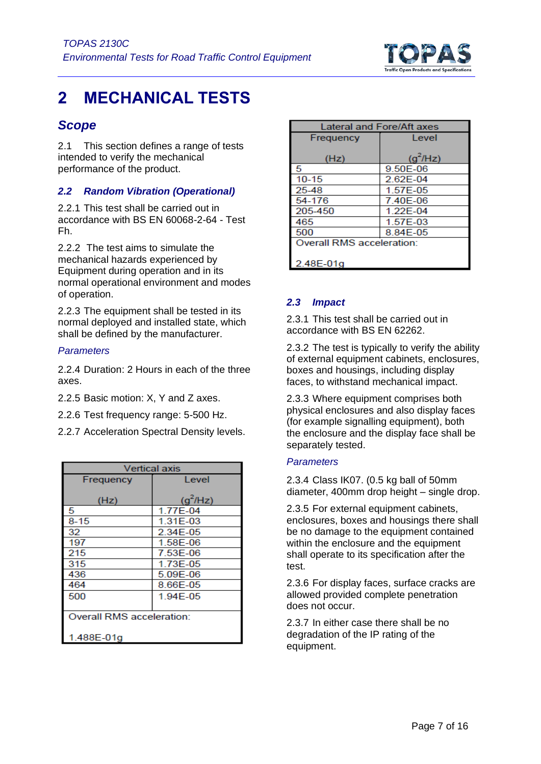

## <span id="page-6-1"></span>**2 MECHANICAL TESTS**

## *Scope*

2.1 This section defines a range of tests intended to verify the mechanical performance of the product.

#### *2.2 Random Vibration (Operational)*

2.2.1 This test shall be carried out in accordance with BS EN 60068-2-64 - Test Fh.

2.2.2 The test aims to simulate the mechanical hazards experienced by Equipment during operation and in its normal operational environment and modes of operation.

2.2.3 The equipment shall be tested in its normal deployed and installed state, which shall be defined by the manufacturer.

#### *Parameters*

2.2.4 Duration: 2 Hours in each of the three axes.

2.2.5 Basic motion: X, Y and Z axes.

2.2.6 Test frequency range: 5-500 Hz.

2.2.7 Acceleration Spectral Density levels.

| <b>Vertical axis</b>      |            |  |  |  |  |  |  |  |  |  |
|---------------------------|------------|--|--|--|--|--|--|--|--|--|
| Frequency                 | Level      |  |  |  |  |  |  |  |  |  |
|                           |            |  |  |  |  |  |  |  |  |  |
| (Hz)                      | $(g^2/Hz)$ |  |  |  |  |  |  |  |  |  |
| 5                         | 1.77E-04   |  |  |  |  |  |  |  |  |  |
| $8 - 15$                  | 1.31E-03   |  |  |  |  |  |  |  |  |  |
| 32                        | 2.34E-05   |  |  |  |  |  |  |  |  |  |
| 197                       | 1.58E-06   |  |  |  |  |  |  |  |  |  |
| 215                       | 7.53E-06   |  |  |  |  |  |  |  |  |  |
| 315                       | 1.73E-05   |  |  |  |  |  |  |  |  |  |
| 436                       | 5.09E-06   |  |  |  |  |  |  |  |  |  |
| 464                       | 8.66E-05   |  |  |  |  |  |  |  |  |  |
| 500                       | 1.94E-05   |  |  |  |  |  |  |  |  |  |
|                           |            |  |  |  |  |  |  |  |  |  |
| Overall RMS acceleration: |            |  |  |  |  |  |  |  |  |  |
| 1.488E-01g                |            |  |  |  |  |  |  |  |  |  |

<span id="page-6-2"></span>

| Lateral and Fore/Aft axes |            |  |  |  |  |  |  |  |  |  |  |
|---------------------------|------------|--|--|--|--|--|--|--|--|--|--|
| Frequency                 | Level      |  |  |  |  |  |  |  |  |  |  |
|                           |            |  |  |  |  |  |  |  |  |  |  |
| (Hz)                      | $(g^2/Hz)$ |  |  |  |  |  |  |  |  |  |  |
| 5                         | 9.50E-06   |  |  |  |  |  |  |  |  |  |  |
| $10 - 15$                 | 2.62E-04   |  |  |  |  |  |  |  |  |  |  |
| 25-48                     | 1.57E-05   |  |  |  |  |  |  |  |  |  |  |
| 54-176                    | 7.40E-06   |  |  |  |  |  |  |  |  |  |  |
| 205-450                   | 1.22E-04   |  |  |  |  |  |  |  |  |  |  |
| 465                       | 1.57E-03   |  |  |  |  |  |  |  |  |  |  |
| 500                       | 8.84E-05   |  |  |  |  |  |  |  |  |  |  |
| Overall RMS acceleration: |            |  |  |  |  |  |  |  |  |  |  |
|                           |            |  |  |  |  |  |  |  |  |  |  |
| 2.48E-01a                 |            |  |  |  |  |  |  |  |  |  |  |

#### <span id="page-6-0"></span>*2.3 Impact*

2.3.1 This test shall be carried out in accordance with BS EN 62262.

2.3.2 The test is typically to verify the ability of external equipment cabinets, enclosures, boxes and housings, including display faces, to withstand mechanical impact.

2.3.3 Where equipment comprises both physical enclosures and also display faces (for example signalling equipment), both the enclosure and the display face shall be separately tested.

#### *Parameters*

2.3.4 Class IK07. (0.5 kg ball of 50mm diameter, 400mm drop height – single drop.

2.3.5 For external equipment cabinets, enclosures, boxes and housings there shall be no damage to the equipment contained within the enclosure and the equipment shall operate to its specification after the test.

2.3.6 For display faces, surface cracks are allowed provided complete penetration does not occur.

2.3.7 In either case there shall be no degradation of the IP rating of the equipment.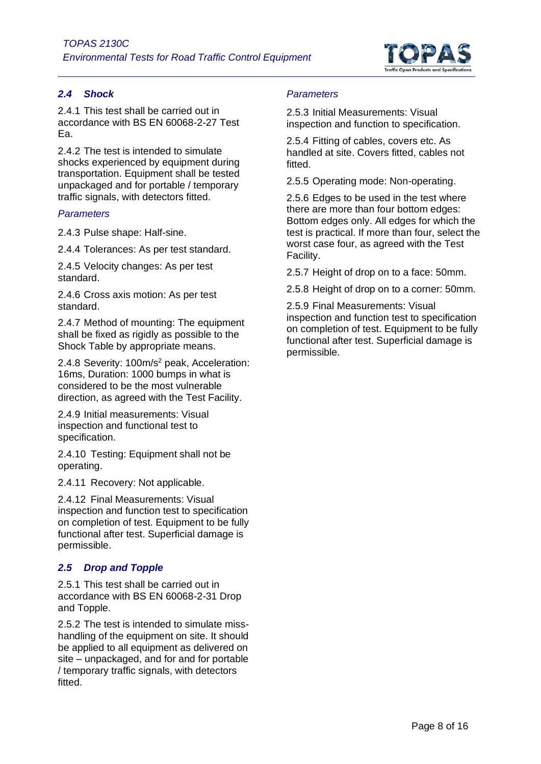

#### <span id="page-7-1"></span><span id="page-7-0"></span>*2.4 Shock*

2.4.1 This test shall be carried out in accordance with BS EN 60068-2-27 Test Ea.

2.4.2 The test is intended to simulate shocks experienced by equipment during transportation. Equipment shall be tested unpackaged and for portable / temporary traffic signals, with detectors fitted.

#### *Parameters*

2.4.3 Pulse shape: Half-sine.

2.4.4 Tolerances: As per test standard.

2.4.5 Velocity changes: As per test standard.

2.4.6 Cross axis motion: As per test standard.

<span id="page-7-2"></span>2.4.7 Method of mounting: The equipment shall be fixed as rigidly as possible to the Shock Table by appropriate means.

2.4.8 Severity: 100m/s<sup>2</sup> peak, Acceleration: 16ms, Duration: 1000 bumps in what is considered to be the most vulnerable direction, as agreed with the Test Facility.

2.4.9 Initial measurements: Visual inspection and functional test to specification.

2.4.10 Testing: Equipment shall not be operating.

2.4.11 Recovery: Not applicable.

2.4.12 Final Measurements: Visual inspection and function test to specification on completion of test. Equipment to be fully functional after test. Superficial damage is permissible.

#### *2.5 Drop and Topple*

2.5.1 This test shall be carried out in accordance with BS EN 60068-2-31 Drop and Topple.

2.5.2 The test is intended to simulate misshandling of the equipment on site. It should be applied to all equipment as delivered on site – unpackaged, and for and for portable / temporary traffic signals, with detectors fitted.

#### *Parameters*

2.5.3 Initial Measurements: Visual inspection and function to specification.

2.5.4 Fitting of cables, covers etc. As handled at site. Covers fitted, cables not fitted.

2.5.5 Operating mode: Non-operating.

2.5.6 Edges to be used in the test where there are more than four bottom edges: Bottom edges only. All edges for which the test is practical. If more than four, select the worst case four, as agreed with the Test Facility.

2.5.7 Height of drop on to a face: 50mm.

2.5.8 Height of drop on to a corner: 50mm.

2.5.9 Final Measurements: Visual inspection and function test to specification on completion of test. Equipment to be fully functional after test. Superficial damage is permissible.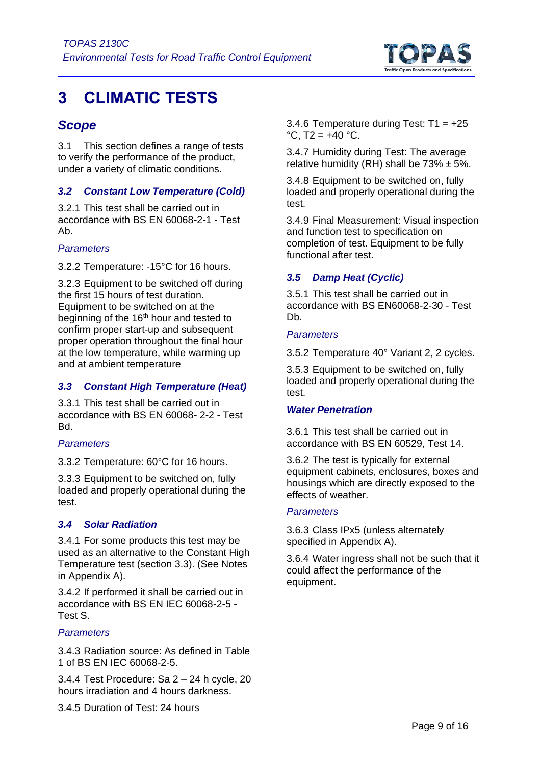

## <span id="page-8-4"></span>**3 CLIMATIC TESTS**

## *Scope*

<span id="page-8-5"></span>3.1 This section defines a range of tests to verify the performance of the product, under a variety of climatic conditions.

#### *3.2 Constant Low Temperature (Cold)*

3.2.1 This test shall be carried out in accordance with BS EN 60068-2-1 - Test Ab.

#### *Parameters*

3.2.2 Temperature: -15°C for 16 hours.

<span id="page-8-6"></span>3.2.3 Equipment to be switched off during the first 15 hours of test duration. Equipment to be switched on at the beginning of the  $16<sup>th</sup>$  hour and tested to confirm proper start-up and subsequent proper operation throughout the final hour at the low temperature, while warming up and at ambient temperature

#### <span id="page-8-2"></span>*3.3 Constant High Temperature (Heat)*

3.3.1 This test shall be carried out in accordance with BS EN 60068- 2-2 - Test Bd.

#### *Parameters*

3.3.2 Temperature: 60°C for 16 hours.

<span id="page-8-0"></span>3.3.3 Equipment to be switched on, fully loaded and properly operational during the test.

#### <span id="page-8-1"></span>*3.4 Solar Radiation*

3.4.1 For some products this test may be used as an alternative to the Constant High Temperature test (section [3.3\)](#page-8-2). (See Notes in Appendix A).

3.4.2 If performed it shall be carried out in accordance with BS EN IEC 60068-2-5 - Test S.

#### *Parameters*

3.4.3 Radiation source: As defined in Table 1 of BS EN IEC 60068-2-5.

3.4.4 Test Procedure: Sa 2 – 24 h cycle, 20 hours irradiation and 4 hours darkness.

3.4.5 Duration of Test: 24 hours

<span id="page-8-7"></span>3.4.6 Temperature during Test:  $T1 = +25$  $°C. T2 = +40 °C.$ 

3.4.7 Humidity during Test: The average relative humidity (RH) shall be  $73\% \pm 5\%$ .

<span id="page-8-8"></span>3.4.8 Equipment to be switched on, fully loaded and properly operational during the test.

3.4.9 Final Measurement: Visual inspection and function test to specification on completion of test. Equipment to be fully functional after test.

#### <span id="page-8-3"></span>*3.5 Damp Heat (Cyclic)*

3.5.1 This test shall be carried out in accordance with BS EN60068-2-30 - Test Db.

#### *Parameters*

3.5.2 Temperature 40° Variant 2, 2 cycles.

3.5.3 Equipment to be switched on, fully loaded and properly operational during the test.

#### *Water Penetration*

3.6.1 This test shall be carried out in accordance with BS EN 60529, Test 14.

3.6.2 The test is typically for external equipment cabinets, enclosures, boxes and housings which are directly exposed to the effects of weather.

#### *Parameters*

3.6.3 Class IPx5 (unless alternately specified in [Appendix A\)](#page-13-0).

3.6.4 Water ingress shall not be such that it could affect the performance of the equipment.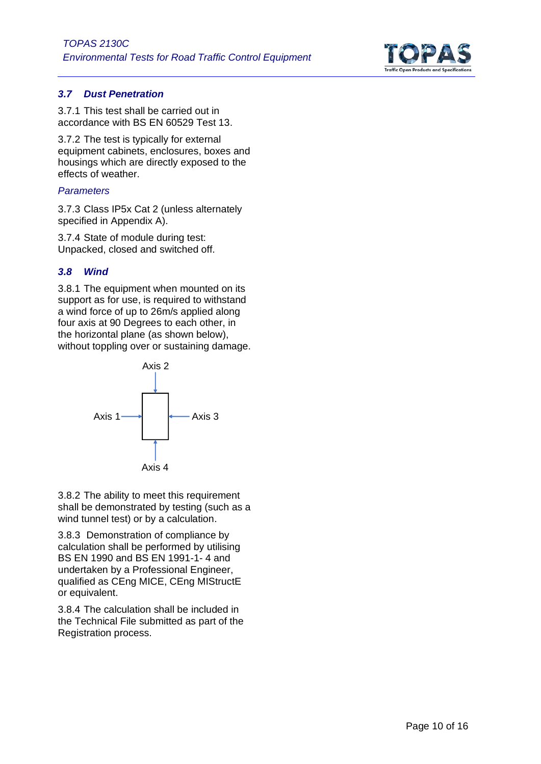

#### <span id="page-9-2"></span><span id="page-9-1"></span>*3.7 Dust Penetration*

3.7.1 This test shall be carried out in accordance with BS EN 60529 Test 13.

3.7.2 The test is typically for external equipment cabinets, enclosures, boxes and housings which are directly exposed to the effects of weather.

#### *Parameters*

3.7.3 Class IP5x Cat 2 (unless alternately specified in [Appendix A\)](#page-13-0).

3.7.4 State of module during test: Unpacked, closed and switched off.

#### *3.8 Wind*

<span id="page-9-0"></span>3.8.1 The equipment when mounted on its support as for use, is required to withstand a wind force of up to 26m/s applied along four axis at 90 Degrees to each other, in the horizontal plane (as shown below), without toppling over or sustaining damage.



3.8.2 The ability to meet this requirement shall be demonstrated by testing (such as a wind tunnel test) or by a calculation.

3.8.3 Demonstration of compliance by calculation shall be performed by utilising BS EN 1990 and BS EN 1991-1- 4 and undertaken by a Professional Engineer, qualified as CEng MICE, CEng MIStructE or equivalent.

3.8.4 The calculation shall be included in the Technical File submitted as part of the Registration process.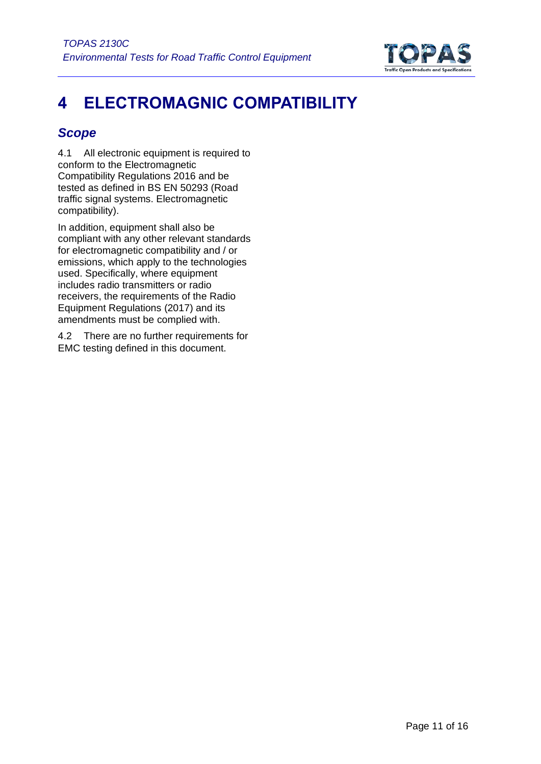

# **4 ELECTROMAGNIC COMPATIBILITY**

## *Scope*

4.1 All electronic equipment is required to conform to the Electromagnetic Compatibility Regulations 2016 and be tested as defined in BS EN 50293 (Road traffic signal systems. Electromagnetic compatibility).

In addition, equipment shall also be compliant with any other relevant standards for electromagnetic compatibility and / or emissions, which apply to the technologies used. Specifically, where equipment includes radio transmitters or radio receivers, the requirements of the Radio Equipment Regulations (2017) and its amendments must be complied with.

4.2 There are no further requirements for EMC testing defined in this document.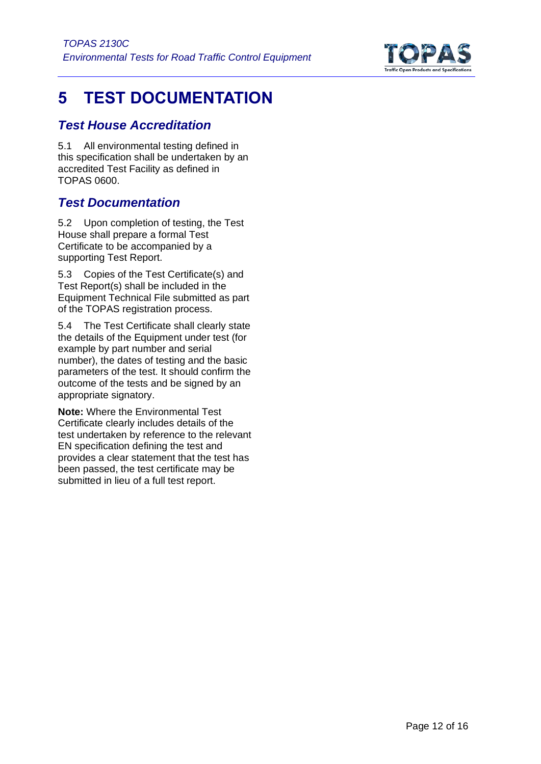

## **5 TEST DOCUMENTATION**

## *Test House Accreditation*

5.1 All environmental testing defined in this specification shall be undertaken by an accredited Test Facility as defined in TOPAS 0600.

### *Test Documentation*

5.2 Upon completion of testing, the Test House shall prepare a formal Test Certificate to be accompanied by a supporting Test Report.

5.3 Copies of the Test Certificate(s) and Test Report(s) shall be included in the Equipment Technical File submitted as part of the TOPAS registration process.

5.4 The Test Certificate shall clearly state the details of the Equipment under test (for example by part number and serial number), the dates of testing and the basic parameters of the test. It should confirm the outcome of the tests and be signed by an appropriate signatory.

**Note:** Where the Environmental Test Certificate clearly includes details of the test undertaken by reference to the relevant EN specification defining the test and provides a clear statement that the test has been passed, the test certificate may be submitted in lieu of a full test report.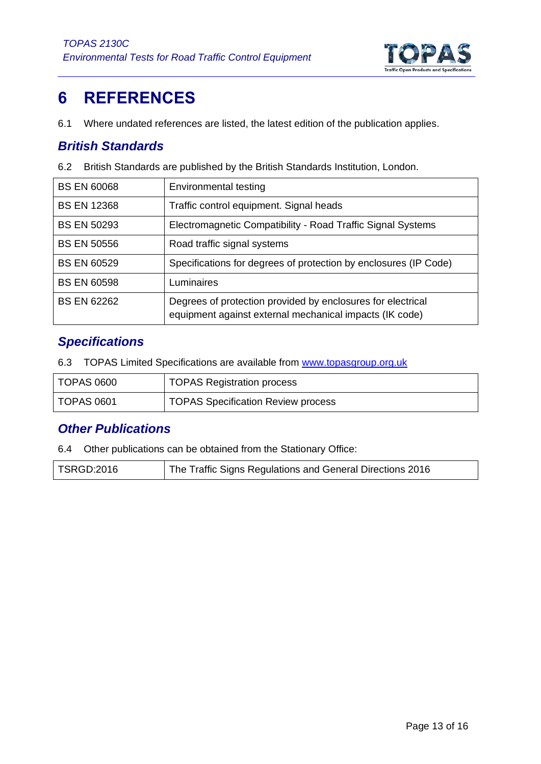

## **6 REFERENCES**

6.1 Where undated references are listed, the latest edition of the publication applies.

### *British Standards*

6.2 British Standards are published by the British Standards Institution, London.

| <b>BS EN 60068</b> | Environmental testing                                                                                                  |
|--------------------|------------------------------------------------------------------------------------------------------------------------|
| <b>BS EN 12368</b> | Traffic control equipment. Signal heads                                                                                |
| <b>BS EN 50293</b> | Electromagnetic Compatibility - Road Traffic Signal Systems                                                            |
| <b>BS EN 50556</b> | Road traffic signal systems                                                                                            |
| <b>BS EN 60529</b> | Specifications for degrees of protection by enclosures (IP Code)                                                       |
| <b>BS EN 60598</b> | Luminaires                                                                                                             |
| <b>BS EN 62262</b> | Degrees of protection provided by enclosures for electrical<br>equipment against external mechanical impacts (IK code) |

### *Specifications*

6.3 TOPAS Limited Specifications are available from [www.topasgroup.org.uk](http://www.topasgroup.org.uk/)

| <b>TOPAS 0600</b> | TOPAS Registration process                |
|-------------------|-------------------------------------------|
| <b>TOPAS 0601</b> | <b>TOPAS Specification Review process</b> |

## *Other Publications*

6.4 Other publications can be obtained from the Stationary Office:

| <b>TSRGD:2016</b> | The Traffic Signs Regulations and General Directions 2016 |  |
|-------------------|-----------------------------------------------------------|--|
|-------------------|-----------------------------------------------------------|--|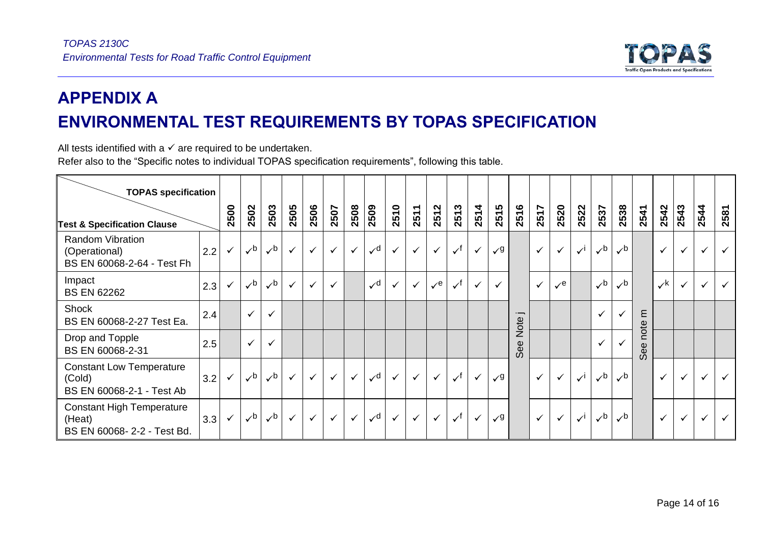

# **APPENDIX A ENVIRONMENTAL TEST REQUIREMENTS BY TOPAS SPECIFICATION**

All tests identified with a  $\checkmark$  are required to be undertaken.

Refer also to the "Specific notes to individual TOPAS specification requirements", following this table.

<span id="page-13-0"></span>

| <b>TOPAS specification</b>                                               |     |              |                            |                           |              |              |              |              |                           |              |              |                 |                            |              |              |            |              |               |                        |                  |                            |             |                 |              |              |      |
|--------------------------------------------------------------------------|-----|--------------|----------------------------|---------------------------|--------------|--------------|--------------|--------------|---------------------------|--------------|--------------|-----------------|----------------------------|--------------|--------------|------------|--------------|---------------|------------------------|------------------|----------------------------|-------------|-----------------|--------------|--------------|------|
| Test & Specification Clause                                              |     | 2500         | 2502                       | 2503                      | 2505         | 2506         | 2507         | 2508         | 2509                      | 2510         | 2511         | 2512            | 2513                       | 2514         | 2515         | 2516       | 2517         | 2520          | 2522                   | 2537             | 2538                       | 2541        | 2542            | 2543         | 2544         | 2581 |
| <b>Random Vibration</b><br>(Operational)<br>BS EN 60068-2-64 - Test Fh   | 2.2 | $\checkmark$ | $\checkmark$               | $\checkmark$              | $\checkmark$ | $\checkmark$ | $\checkmark$ | $\checkmark$ | $\mathbf{v}^{\mathsf{d}}$ | $\checkmark$ | $\checkmark$ | $\checkmark$    | $\sqrt{ }$                 | $\checkmark$ | $\sqrt{9}$   |            | $\checkmark$ | $\checkmark$  | $\mathbf{v}^{\dagger}$ | $\checkmark$     | $\checkmark$               |             | $\checkmark$    | $\checkmark$ | $\checkmark$ |      |
| Impact<br><b>BS EN 62262</b>                                             | 2.3 |              | $\mathcal{V}^{\mathsf{b}}$ | $\checkmark$              | $\checkmark$ | $\checkmark$ | $\checkmark$ |              | $\mathcal{V}^d$           | $\checkmark$ | $\checkmark$ | $\mathcal{V}^e$ | $\mathcal{V}^{\mathsf{f}}$ | $\checkmark$ | $\checkmark$ |            | $\checkmark$ | $\mathcal{S}$ |                        | $v^{\mathsf{b}}$ | $\mathcal{V}^{\mathsf{b}}$ |             | $\mathcal{V}^k$ | $\checkmark$ | $\checkmark$ |      |
| Shock<br>BS EN 60068-2-27 Test Ea.                                       | 2.4 |              |                            | $\checkmark$              |              |              |              |              |                           |              |              |                 |                            |              |              | Note       |              |               |                        |                  |                            | $\mathsf E$ |                 |              |              |      |
| Drop and Topple<br>BS EN 60068-2-31                                      | 2.5 |              | $\checkmark$               | $\checkmark$              |              |              |              |              |                           |              |              |                 |                            |              |              | <b>See</b> |              |               |                        |                  | $\checkmark$               | note<br>See |                 |              |              |      |
| <b>Constant Low Temperature</b><br>(Cold)<br>BS EN 60068-2-1 - Test Ab   | 3.2 | $\checkmark$ | $\mathbf{v}^{\mathsf{b}}$  | $\checkmark$              | $\checkmark$ | $\checkmark$ | $\checkmark$ | $\checkmark$ | $\mathcal{V}^d$           | $\checkmark$ | $\checkmark$ | $\checkmark$    | $\sqrt{f}$                 | $\checkmark$ | $\sqrt{9}$   |            | $\checkmark$ | $\checkmark$  | $\sqrt{1}$             | $\checkmark$     | $\checkmark$               |             | $\checkmark$    | $\checkmark$ | $\checkmark$ |      |
| <b>Constant High Temperature</b><br>(Heat)<br>BS EN 60068-2-2 - Test Bd. | 3.3 | $\checkmark$ | $\checkmark$               | $\mathbf{v}^{\mathsf{b}}$ | $\checkmark$ | $\checkmark$ | $\checkmark$ | $\checkmark$ | $\mathcal{V}^{\text{d}}$  | $\checkmark$ | $\checkmark$ | $\checkmark$    | $\sqrt{ }$                 | $\checkmark$ | $\sqrt{9}$   |            | $\checkmark$ | $\checkmark$  | $\sqrt{1}$             | $\sqrt{b}$       | $\mathcal{V}^{\mathsf{b}}$ |             | $\checkmark$    | $\checkmark$ | $\checkmark$ |      |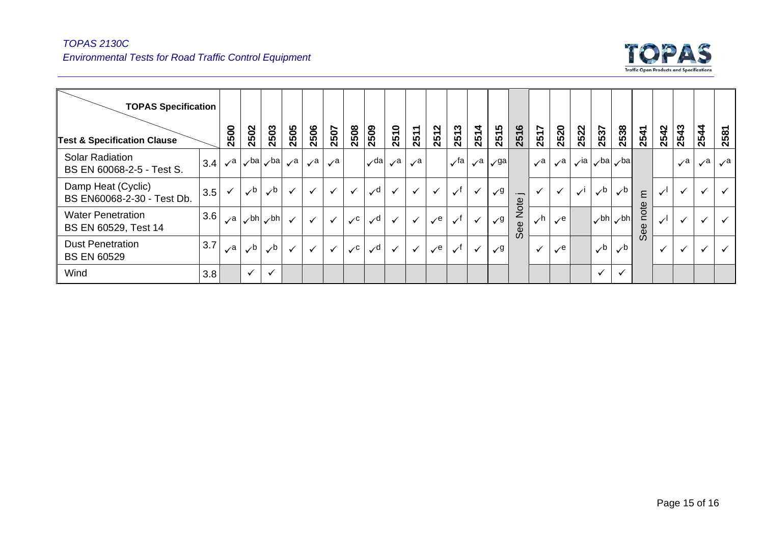

| <b>TOPAS Specification</b>                          |     |                 |                           |                            |              |              |                 |                            |                           |              |                 |                 |              |                 | ທ           |                          |                 |                 |                         |                            |                         |                                     |              |                 |                 |              |
|-----------------------------------------------------|-----|-----------------|---------------------------|----------------------------|--------------|--------------|-----------------|----------------------------|---------------------------|--------------|-----------------|-----------------|--------------|-----------------|-------------|--------------------------|-----------------|-----------------|-------------------------|----------------------------|-------------------------|-------------------------------------|--------------|-----------------|-----------------|--------------|
| Test & Specification Clause                         |     | 2500            | 2502                      | 2503                       | 2505         | 2506         | 2507            | 2508                       | 2509                      | 2510         | 2511            | 2512            | 2513         | 2514            | 251         | 2516                     | 2517            | 2520            | 2522                    | 2537                       | 2538                    | 2541                                | 2542         | 2543            | 2544            | 2581         |
| <b>Solar Radiation</b><br>BS EN 60068-2-5 - Test S. | 3.4 | $\sqrt{a}$      |                           | $ \nabla$ ba $ \nabla$ ba  | $\sqrt{a}$   | $\sqrt{a}$   | $\mathcal{V}^a$ |                            | $\sqrt{da}$               | $\sqrt{a}$   | $\mathcal{S}^a$ |                 | $\sqrt{a}$   | $\mathcal{V}^a$ | $\sqrt{g}a$ |                          | $\mathcal{V}^a$ | $\mathcal{V}^a$ | √ia I.                  |                            | $\sqrt{ba}$ $\sqrt{ba}$ |                                     |              | $\mathcal{V}^a$ | $\mathcal{V}^a$ | $\sqrt{a}$   |
| Damp Heat (Cyclic)<br>BS EN60068-2-30 - Test Db.    | 3.5 | $\checkmark$    | $\mathbf{v}^{\mathsf{b}}$ | $\mathcal{L}^{\mathsf{b}}$ | $\checkmark$ | $\checkmark$ | $\checkmark$    | $\checkmark$               | $\sqrt{d}$                | $\checkmark$ | $\checkmark$    | $\checkmark$    | $\sqrt{ }$   | ✓               | $\sqrt{9}$  | $\overline{\phantom{0}}$ | $\checkmark$    | $\checkmark$    | $\mathcal{N}^{\dagger}$ | $\mathcal{V}^{\mathsf{b}}$ | $\checkmark$            | Ε                                   | $\sqrt{ }$   | $\checkmark$    | $\checkmark$    | $\checkmark$ |
| <b>Water Penetration</b><br>BS EN 60529, Test 14    | 3.6 | $\mathcal{L}^a$ |                           | $\sqrt{bh}$ $\sqrt{bh}$    | $\checkmark$ | $\checkmark$ | $\checkmark$    | $\checkmark$ <sup>C</sup>  | $\checkmark$ <sup>d</sup> | $\checkmark$ | $\checkmark$    | $\mathcal{V}^e$ | $\sqrt{ }$   | $\checkmark$    | $\sqrt{9}$  | Note<br>ee               | $\checkmark$ h  | $\mathcal{V}^e$ |                         |                            | $\sqrt{bh}$ $\sqrt{bh}$ | note<br>$\mathbf{\Omega}$<br>$\Phi$ |              | $\checkmark$    | $\checkmark$    | $\checkmark$ |
| <b>Dust Penetration</b><br><b>BS EN 60529</b>       | 3.7 | $\mathcal{S}^a$ | $\checkmark$              | $\mathbf{v}^{\mathsf{b}}$  | $\checkmark$ | $\checkmark$ | $\checkmark$    | $\mathcal{S}^{\mathsf{C}}$ | $\sqrt{d}$                | $\checkmark$ | $\checkmark$    | $\mathcal{V}^e$ | $\checkmark$ | $\checkmark$    | $\sqrt{9}$  | ഗ                        | $\checkmark$    | $\checkmark$ e  |                         | $\mathbf{v}^{\mathsf{b}}$  | $\checkmark$            | $\omega$                            | $\checkmark$ | $\checkmark$    | $\checkmark$    | $\checkmark$ |
| Wind                                                | 3.8 |                 |                           | $\checkmark$               |              |              |                 |                            |                           |              |                 |                 |              |                 |             |                          |                 |                 |                         |                            | $\checkmark$            |                                     |              |                 |                 |              |